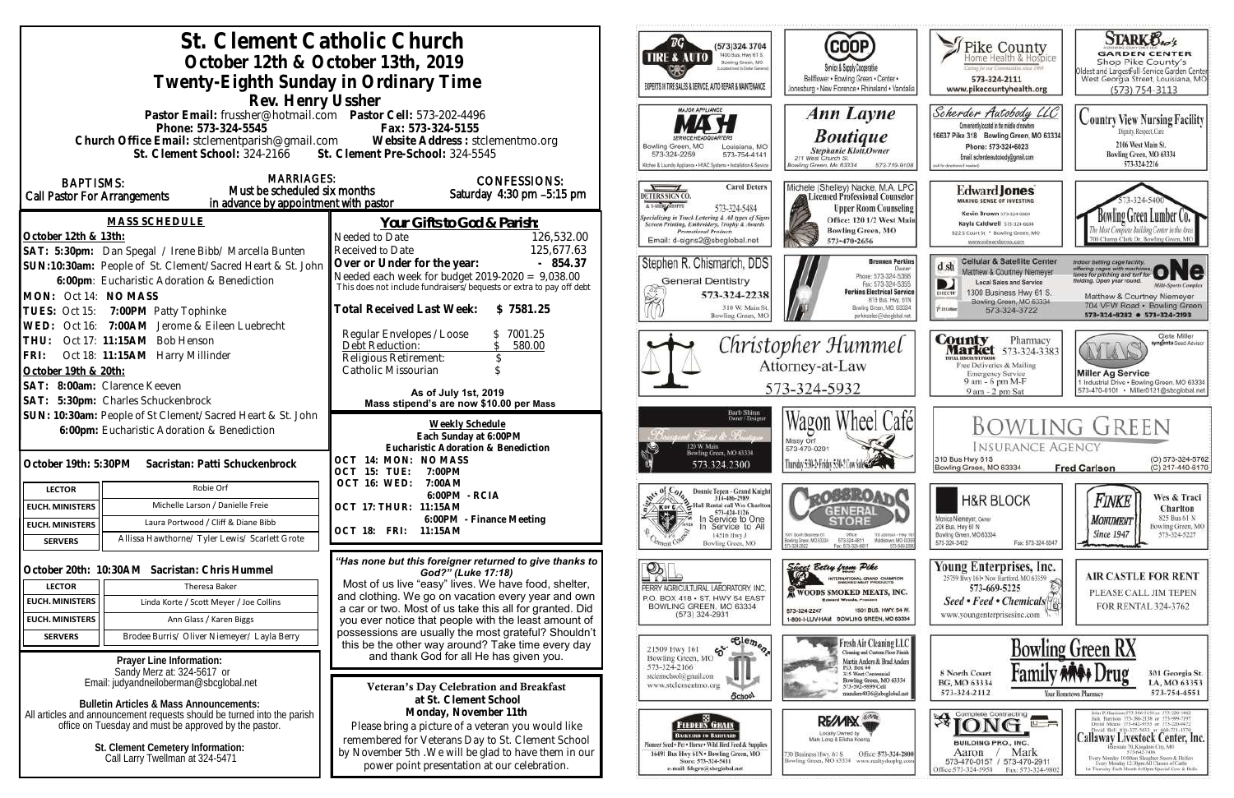| St. Clement Catholic Church<br>October 12th & October 13th, 2019<br>Twenty-Eighth Sunday in Ordinary Time<br>Rev. Henry Ussher                                                                                                              |                                                                                                                                                                                                                                          | ™G`<br>(573)324 3704<br>1400 Bus. Hwy 61 S.<br>TIRE & AUTO<br>Bowling Green, MO<br>picated reset to Dallar General<br>EXPERTS IN TIRE SALES & SERVICE, AUTO REPAIR & MAINTENANCE                      | <b>COOP</b><br>Service & Supply Cooperative<br>Bellflower . Bowling Green . Center .<br>Jonesburg . New Florence . Rhineland . Vandalia                                                                       | Thike County<br>aring for our Communities struct IWS<br>573-324-2111<br>www.pikecountyhealth.org                                                                                                      | <b>STARK Oxo's</b><br><b>GARDEN CENTER</b><br>Shop Pike County's<br>Oldest and LargestFull-Service Garden Center<br>West Georgia Street, Louisiana, MO<br>$(573) 754 - 3113$                                                                                                                                                                                                                                                     |
|---------------------------------------------------------------------------------------------------------------------------------------------------------------------------------------------------------------------------------------------|------------------------------------------------------------------------------------------------------------------------------------------------------------------------------------------------------------------------------------------|-------------------------------------------------------------------------------------------------------------------------------------------------------------------------------------------------------|---------------------------------------------------------------------------------------------------------------------------------------------------------------------------------------------------------------|-------------------------------------------------------------------------------------------------------------------------------------------------------------------------------------------------------|----------------------------------------------------------------------------------------------------------------------------------------------------------------------------------------------------------------------------------------------------------------------------------------------------------------------------------------------------------------------------------------------------------------------------------|
| Pastor Email: frussher@hotmail.com    Pastor Cell: 573-202-4496<br>Phone: 573-324-5545<br>Church Office Email: stclementparish@gmail.com Website Address : stclementmo.org<br>St. Clement School: 324-2166 St. Clement Pre-School: 324-5545 | <b>MAJOR APPLIANCE</b><br>Bowling Green, MO<br>Louisiana, MO<br>573-324-2259<br>573-754-4141<br>3chen & Launchy Appliance . HVAC Systems . Installation & Service                                                                        | Ann Layne<br><b>Boutique</b><br><b>Stephanie Klott</b> , Owner<br>211 West Church St.<br>lowling Green, Mo 63334<br>573-719-9108                                                                      | Scherder Autobody LLC<br>Conveniently located in the middle of nowhere<br>16637 Pike 318 Bowling Green, MO 63334<br>Phone: 573+324+6023<br>Email: scherderautobody@gmail.com<br>call for directions if meeted | <b>Country View Nursing Facility</b><br>Dignity, Respect, Care<br>2106 West Main St.<br>Bowling Green, MO 63334<br>573-324-2216                                                                       |                                                                                                                                                                                                                                                                                                                                                                                                                                  |
| <b>MARRIAGES:</b><br><b>BAPTISMS:</b><br>Must be scheduled six months<br>Call Pastor For Arrangements<br>in advance by appointment with pastor                                                                                              | <b>CONFESSIONS:</b><br>Saturday 4:30 pm -5:15 pm                                                                                                                                                                                         | <b>Carol Deters</b><br>DETERS SIGN CO.<br>A T-SHING SHOPPE<br>573-324-5484                                                                                                                            | Michele (Shelley) Nacke, M.A. LPC<br>Licensed Professional Counselor<br><b>Upper Room Counseling</b>                                                                                                          | <b>Edward Jones</b><br><b>MAKING SENSE OF INVESTING</b><br>Kevin Brown 573-324-6604                                                                                                                   |                                                                                                                                                                                                                                                                                                                                                                                                                                  |
| <b>MASS SCHEDULE</b><br>October 12th & 13th:<br>SAT: 5:30pm: Dan Spegal / Irene Bibb/ Marcella Bunten                                                                                                                                       | Your Gifts to God & Parish:<br>Needed to Date<br>126,532.00<br>125,677.63<br>Received to Date                                                                                                                                            | <b>Specializing in Truck Lettering &amp; All types of Signs</b><br>Screen Printing, Embroidery, Trophy & Awards<br><b>Promotional Products</b><br>Email: d-signs2@sbcglobal.net                       | Office: 120 1/2 West Main<br><b>Bowling Green, MO</b><br>573-470-2656                                                                                                                                         | Kayla Caldwell 573-324-6604<br>822 S Court St * Bowling Green, MO<br>www.edwardjones.com                                                                                                              | Bowling Green Lumber Co.<br>700 Champ Clark Dr. Bowling Green, M                                                                                                                                                                                                                                                                                                                                                                 |
| SUN:10:30am: People of St. Clement/Sacred Heart & St. John<br>6:00pm: Eucharistic Adoration & Benediction<br>MON: Oct 14: NO MASS<br>TUES: Oct 15: 7:00PM Patty Tophinke                                                                    | Over or Under for the year:<br>$-854.37$<br>Needed each week for budget $2019-2020 = 9,038.00$<br>This does not include fundraisers/bequests or extra to pay off debt<br>Total Received Last Week: \$7581.25                             | Stephen R. Chismarich, DDS<br><b>General Dentistry</b><br>学<br>573-324-2238<br>310 W. Main St<br>Bowling Green, MC                                                                                    | <b>Brennen Perkins</b><br>Dwner<br>Phone: 573-324-5366<br>Fax: 573-324-5355<br><b>Perkins Electrical Service</b><br>B19 Bus. Hwy. 61N<br>Bowling Green, MO. 63334<br>perkinselec@shoclobal.net                | <b>Cellular &amp; Satellite Center</b><br>Matthew & Courtney Niemeyer<br><b>Local Sales and Service</b><br>D<br>1300 Business Hwy 61 S.<br>Bowling Green, MO 63334<br><b>Xiatchie</b><br>573-324-3722 | Indoor batting cage facility.<br>offering cages with machines ONC<br>lelding. Open year round.<br><b>Milti-Sparts Complex</b><br>Matthew & Courtney Niemeyer<br>704 VFW Road · Bowling Green<br>573-324-8282 0 573-324-2193                                                                                                                                                                                                      |
| WED: Oct 16: 7:00AM Jerome & Eileen Luebrecht<br>Oct 17: 11:15AM Bob Henson<br>THU:<br>FRI: Oct 18: 11:15AM Harry Millinder<br>October 19th & 20th:<br>SAT: 8:00am: Clarence Keeven                                                         | Regular Envelopes / Loose<br>\$7001.25<br>Debt Reduction:<br>580.00<br>Religious Retirement:<br>Catholic Missourian<br>As of July 1st, 2019                                                                                              | Christopher Hummel<br>Attorney-at-Law<br>573-324-5932                                                                                                                                                 |                                                                                                                                                                                                               | <b>County</b> Pharmacy<br><b>Market</b> 573-324-3383<br><b>ITAL BISCOUNT PRODE</b><br>Free Deliveries & Mailing<br><b>Emergency Service</b><br>9 am - 6 pm M-F<br>9 am - 2 pm Sat                     | Clete Miller<br>syngenta Sood Adviso<br>AYLA<br><b>Miller Ag Service</b><br>1 Industrial Drive . Bowling Green, MO 63334<br>573-470-0101 Miller0121@sbcglobal.net                                                                                                                                                                                                                                                                |
| SAT: 5:30pm: Charles Schuckenbrock<br>SUN: 10:30am: People of St Clement/Sacred Heart & St. John<br>6:00pm: Eucharistic Adoration & Benediction                                                                                             | Mass stipend's are now \$10.00 per Mass<br>Weekly Schedule<br>Each Sunday at 6:00PM                                                                                                                                                      | Barb Shinn<br>Owner/Designer<br>Francis Roma                                                                                                                                                          | Wagon Wheel Cafél<br>Missy Orf                                                                                                                                                                                |                                                                                                                                                                                                       | <b>BOWLING GREEN</b>                                                                                                                                                                                                                                                                                                                                                                                                             |
| October 19th: 5:30PM<br>Sacristan: Patti Schuckenbrock                                                                                                                                                                                      | Eucharistic Adoration & Benediction<br>OCT 14: MON: NO MASS<br>OCT 15: TUE: 7:00PM                                                                                                                                                       | 120 W. Main<br>Bowling Green, MO 63334<br>573.324.2300                                                                                                                                                | 573-470-0291<br>Thursday 5:30-2: Friday 5:30-2 Cow Sales Com                                                                                                                                                  | <b>INSURANCE AGENCY</b><br>310 Bus Hwy 61S<br>Bowling Green, MO 63334                                                                                                                                 | (O) 573-324-5762<br>(C) 217-440-6170<br><b>Fred Carlson</b>                                                                                                                                                                                                                                                                                                                                                                      |
| Robie Orf<br><b>LECTOR</b>                                                                                                                                                                                                                  | OCT 16: WED:<br>7:00AM<br>6:00PM - RCIA                                                                                                                                                                                                  | Donnie Tepen - Grand Knight<br>314-486-2989                                                                                                                                                           | <b>L<sub>RO</sub>SSROAT</b>                                                                                                                                                                                   |                                                                                                                                                                                                       | Wes & Traci                                                                                                                                                                                                                                                                                                                                                                                                                      |
| Michelle Larson / Danielle Freie<br><b>EUCH. MINISTERS</b>                                                                                                                                                                                  | OCT 17: THUR: 11:15AM                                                                                                                                                                                                                    | Hall Rental call Wes Charlton<br>Ker C<br>573-424-1126                                                                                                                                                | <b>GENERAL</b>                                                                                                                                                                                                | <b>H&amp;R BLOCK</b>                                                                                                                                                                                  | Finke<br>Charlton                                                                                                                                                                                                                                                                                                                                                                                                                |
| Laura Portwood / Cliff & Diane Bibb<br><b>EUCH. MINISTERS</b><br>Allissa Hawthorne/ Tyler Lewis/ Scarlett Grote<br><b>SERVERS</b>                                                                                                           | 6:00PM - Finance Meeting<br>OCT 18: FRI: 11:15AM                                                                                                                                                                                         | ⊹<br>Service to One<br>Service to All<br>14516 Hwy J<br>Bowling Green, MO                                                                                                                             | 1001 South Business 61<br>Ofice<br>110 Johnson - Hwy 10<br>573-324-6811<br>Bowling Green, MD 63334<br>Middietown, MD-6335<br>Fax: 573-324-6811<br>573-549-209                                                 | Monica Niemeyer, Owner<br>206 Bus. Hwy 61 N<br>Bowling Green, MO 63334<br>Fax: 573-324-5047<br>573-324-3402                                                                                           | 825 Bus 61 N<br>MONUMENT<br>Bowling Green, MO<br><b>Since 1947</b><br>573-324-5227                                                                                                                                                                                                                                                                                                                                               |
| October 20th: 10:30AM Sacristan: Chris Hummel<br>Theresa Baker<br><b>LECTOR</b>                                                                                                                                                             | "Has none but this foreigner returned to give thanks to<br>God?" (Luke 17:18)<br>Most of us live "easy" lives. We have food, shelter,                                                                                                    | $\mathbb{P}_{\mathbb{R}}$<br>PERRY AGRICULTURAL LABORATORY, INC.                                                                                                                                      | Sincer Betsy from Pike<br>INTERNATIONAL GRAND CHAMFION                                                                                                                                                        | Young Enterprises, Inc.<br>25759 Hwy 161 . New Hartford, MO 63359<br>573-669-5225                                                                                                                     | <b>AIR CASTLE FOR RENT</b>                                                                                                                                                                                                                                                                                                                                                                                                       |
| <b>EUCH. MINISTERS</b><br>Linda Korte / Scott Meyer / Joe Collins                                                                                                                                                                           | and clothing. We go on vacation every year and own                                                                                                                                                                                       | P.O. BOX 418 . ST. HWY 54 EAST                                                                                                                                                                        | <b>K WOODS SMOKED MEATS, INC.</b><br><b>Edward Woods, President</b>                                                                                                                                           | Seed • Feed • Chemicals                                                                                                                                                                               | PLEASE CALL JIM TEPEN                                                                                                                                                                                                                                                                                                                                                                                                            |
| Ann Glass / Karen Biggs<br><b>EUCH. MINISTERS</b>                                                                                                                                                                                           | a car or two. Most of us take this all for granted. Did                                                                                                                                                                                  | BOWLING GREEN, MO 63334<br>$(573)$ 324-2931                                                                                                                                                           | 1501 BUS, HWY, 54 W.<br>573-324-2247<br>1-800-I-LUV-HAM BOWLING GREEN, MO 63334                                                                                                                               | www.youngenterprisesinc.com                                                                                                                                                                           | FOR RENTAL 324-3762                                                                                                                                                                                                                                                                                                                                                                                                              |
|                                                                                                                                                                                                                                             | you ever notice that people with the least amount of<br>possessions are usually the most grateful? Shouldn't                                                                                                                             |                                                                                                                                                                                                       |                                                                                                                                                                                                               |                                                                                                                                                                                                       |                                                                                                                                                                                                                                                                                                                                                                                                                                  |
| <b>SERVERS</b><br>Brodee Burris/ Oliver Niemeyer/ Layla Berry                                                                                                                                                                               | this be the other way around? Take time every day                                                                                                                                                                                        | $\overline{\text{e}^{\text{le}}_{\text{e}}\text{e}_{\eta_{\theta_{Q}}}}$<br>$\mathfrak{S}$<br>21509 Hwy 161                                                                                           | Fresh Air Cleaning LLC<br>Cleaning and Custom Floor Finish                                                                                                                                                    |                                                                                                                                                                                                       | <b>Bowling Green RX</b>                                                                                                                                                                                                                                                                                                                                                                                                          |
| Prayer Line Information:<br>Sandy Merz at: 324-5617 or<br>Email: judyandheiloberman@sbcqlobal.net<br><b>Bulletin Articles &amp; Mass Announcements:</b>                                                                                     | and thank God for all He has given you.<br>Veteran's Day Celebration and Breakfast<br>at St. Clement School                                                                                                                              | Bowling Green, MO<br>573-324-2166<br>stelemschool@gmail.com<br>www.stclementmo.org<br>School                                                                                                          | Martin Anders & Brad Anders<br>P.O. Box 44<br>315 West Centennial<br>Bowling Green, MO 63334<br>573-592-9899 Cell<br>nanders4036@sbcglobal.ne                                                                 | 8 North Court<br>BG, MO 63334<br>573-324-2112                                                                                                                                                         | 301 Georgia St.<br>LA, MO 63353<br>573-754-4551<br>Your Hometown Pharmacy                                                                                                                                                                                                                                                                                                                                                        |
| All articles and announcement requests should be turned into the parish<br>office on Tuesday and must be approved by the pastor.<br>St. Clement Cemetery Information:<br>Call Larry Twellman at 324-5471                                    | Monday, November 11th<br>Please bring a picture of a veteran you would like<br>remembered for Veterans Day to St. Clement School<br>by November 5th. We will be glad to have them in our<br>power point presentation at our celebration. | <b>FEEDERS GRAIN</b><br><b>BACKYARD TO BARNVARD</b><br>Seed + Pet . Horse . Wild Bird Feed & Supplies<br>16491 Bus Hwy 61N . Bowling Green, MO<br>Store: 573-324-5411<br>e-mail: fdsgrn@sbcglobal.net | RE/MIX<br>Locally Owned by<br>Office: 573-324-2800<br>30 Business Hwy, 61 S<br>Bowling Green, MO 63334 www.realtyshopbg.com                                                                                   | $\mathfrak{B}$ jong $\blacksquare$<br>$\overline{u}$ $\overline{u}$<br><b>BUILDING PRO., INC.</b><br>Mark<br>Aaron<br>573-470-0157 / 573-470-2911<br>Office:573-324-5958<br>Fax: 573-324-980          | John P. Harrison 573-386-5150 or 573-220-1482<br>Jack Hurrison 573-386-2138 or 573-999-7197<br>David Means 573-642-9753 st 573-220-0472<br>David Bell 816-527-5633 or 660-721-1370<br>Callaway Livestock Center, Inc.<br>terstate 70, Kingdoni City, MO<br>573-642-7486<br>Every Monitay 10:00am Sloughter Steers & Heifers<br>Every Membry 12:30pm All Classes of Cattle<br>1st Thursday Each Month 6:00pm Special Cow & Bulls. |